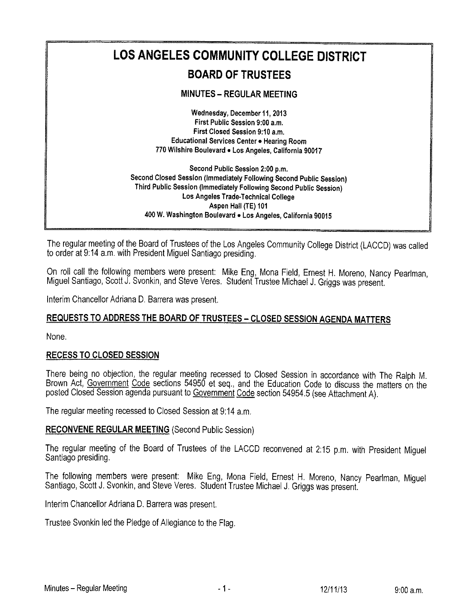

The regular meeting of the Board of Trustees of the Los Angeles Community College District (LACCD) was called to order at 9:14 a.m. with President Migue! Santiago presiding.

On roll call the following members were present: Mike Eng, Mona Field, Ernest H. Moreno, Nancy Pearlman, Miguel Santiago, Scott J. Svonkin, and Steve Veres. Student Trustee Michael J. Griggs was present.

Interim Chancellor Adriana D. Barrera was present.

# REQUESTS TO ADDRESS THE BOARD OF TRUSTEES - CLOSED SESSION AGENDA MATTERS

None.

## RECESS TO CLOSED SESSION

There-being no objection, the regular meeting recessed to Closed Session in accordance with The Ralph M. Brown Act, Government Code sections 54950 et seq., and the Education Code to discuss the matters on the posted Closed Session agenda pursuant to Government Code section 54954.5 (see Attachment A).

The regular meeting recessed to Closed Session at 9:14 a,m.

### RECONVENE REGULAR MEETING (Second Public Session)

The regular meeting of the Board of Trustees of the LACCD reconvened at 2:15 p.m. with President Miguel Santiago presiding.

The following members were present: Mike Eng, Mona Field, Ernest H. Moreno, Nancy Pearlman, Miguel Santiago, Scott J. Svonkin, and Steve Veres. Student Trustee Michael J, Griggs was present.

Interim Chancellor Adriana D. Barrera was present.

Trustee Svonkin led the Pledge of Allegiance to the Flag.